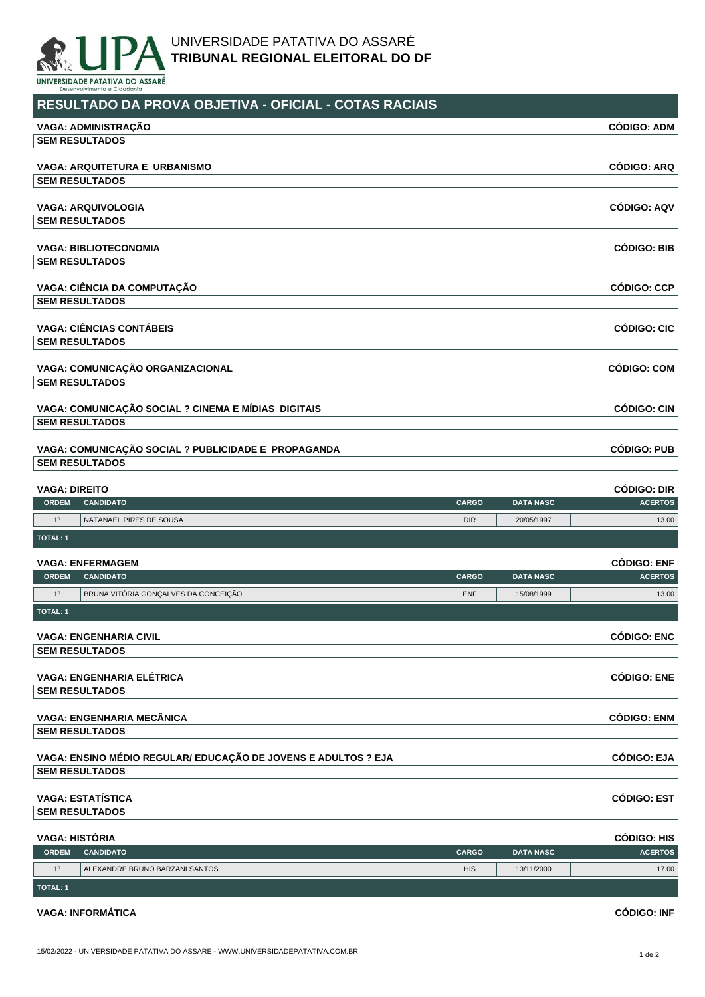

## **RESULTADO DA PROVA OBJETIVA - OFICIAL - COTAS RACIAIS**

| VAGA: ADMINISTRAÇÃO                                 |              |                  | <b>CÓDIGO: ADM</b> |
|-----------------------------------------------------|--------------|------------------|--------------------|
| <b>SEM RESULTADOS</b>                               |              |                  |                    |
|                                                     |              |                  |                    |
| <b>VAGA: ARQUITETURA E URBANISMO</b>                |              |                  | <b>CÓDIGO: ARQ</b> |
| <b>SEM RESULTADOS</b>                               |              |                  |                    |
| <b>VAGA: ARQUIVOLOGIA</b>                           |              |                  | <b>CÓDIGO: AQV</b> |
| <b>SEM RESULTADOS</b>                               |              |                  |                    |
| <b>VAGA: BIBLIOTECONOMIA</b>                        |              |                  | <b>CÓDIGO: BIB</b> |
| <b>SEM RESULTADOS</b>                               |              |                  |                    |
| VAGA: CIÊNCIA DA COMPUTAÇÃO                         |              |                  | <b>CÓDIGO: CCP</b> |
| <b>SEM RESULTADOS</b>                               |              |                  |                    |
| <b>VAGA: CIÊNCIAS CONTÁBEIS</b>                     |              |                  | <b>CÓDIGO: CIC</b> |
| <b>SEM RESULTADOS</b>                               |              |                  |                    |
| VAGA: COMUNICAÇÃO ORGANIZACIONAL                    |              |                  | <b>CÓDIGO: COM</b> |
| <b>SEM RESULTADOS</b>                               |              |                  |                    |
| VAGA: COMUNICAÇÃO SOCIAL ? CINEMA E MÍDIAS DIGITAIS |              |                  | <b>CÓDIGO: CIN</b> |
| <b>SEM RESULTADOS</b>                               |              |                  |                    |
| VAGA: COMUNICAÇÃO SOCIAL ? PUBLICIDADE E PROPAGANDA |              |                  | <b>CÓDIGO: PUB</b> |
| <b>SEM RESULTADOS</b>                               |              |                  |                    |
| <b>VAGA: DIREITO</b>                                |              |                  | <b>CÓDIGO: DIR</b> |
| <b>ORDEM</b><br><b>CANDIDATO</b>                    | <b>CARGO</b> | <b>DATA NASC</b> | <b>ACERTOS</b>     |
| 1 <sup>0</sup><br>NATANAEL PIRES DE SOUSA           | <b>DIR</b>   | 20/05/1997       | 13.00              |
| <b>TOTAL: 1</b>                                     |              |                  |                    |
| <b>VAGA: ENFERMAGEM</b>                             |              |                  | <b>CÓDIGO: ENF</b> |
| OPDEM CANDIDATO                                     | CAPCO        | DATA NASC        | <b>ACEPTOR</b>     |

| <b>ORDEM</b>   | <b>CANDIDATO</b>                                               | <b>CARGO</b> | <b>DATA NASC</b> | <b>ACERTOS</b>     |
|----------------|----------------------------------------------------------------|--------------|------------------|--------------------|
| 1 <sup>0</sup> | BRUNA VITÓRIA GONÇALVES DA CONCEIÇÃO                           | <b>ENF</b>   | 15/08/1999       | 13.00              |
| TOTAL: 1       |                                                                |              |                  |                    |
|                | <b>VAGA: ENGENHARIA CIVIL</b>                                  |              |                  | <b>CÓDIGO: ENC</b> |
|                | <b>SEM RESULTADOS</b>                                          |              |                  |                    |
|                | <b>VAGA: ENGENHARIA ELÉTRICA</b>                               |              |                  | <b>CÓDIGO: ENE</b> |
|                | <b>SEM RESULTADOS</b>                                          |              |                  |                    |
|                | <b>VAGA: ENGENHARIA MECÂNICA</b>                               |              |                  | <b>CÓDIGO: ENM</b> |
|                | <b>SEM RESULTADOS</b>                                          |              |                  |                    |
|                | VAGA: ENSINO MÉDIO REGULAR/ EDUCAÇÃO DE JOVENS E ADULTOS ? EJA |              |                  | <b>CÓDIGO: EJA</b> |
|                | <b>SEM RESULTADOS</b>                                          |              |                  |                    |
|                | <b>VAGA: ESTATÍSTICA</b>                                       |              |                  | <b>CÓDIGO: EST</b> |
|                | <b>SEM RESULTADOS</b>                                          |              |                  |                    |
|                |                                                                |              |                  |                    |

| VAGA: HISTÓRIA  |                                |              |                  | <b>CODIGO: HIS</b> |
|-----------------|--------------------------------|--------------|------------------|--------------------|
| <b>ORDEM</b>    | <b>CANDIDATO</b>               | <b>CARGO</b> | <b>DATA NASC</b> | <b>ACERTOS</b>     |
| 10              | ALEXANDRE BRUNO BARZANI SANTOS | <b>HIS</b>   | 13/11/2000       | 17.00              |
| <b>TOTAL: 1</b> |                                |              |                  |                    |

## **VAGA: INFORMÁTICA CÓDIGO: INF**